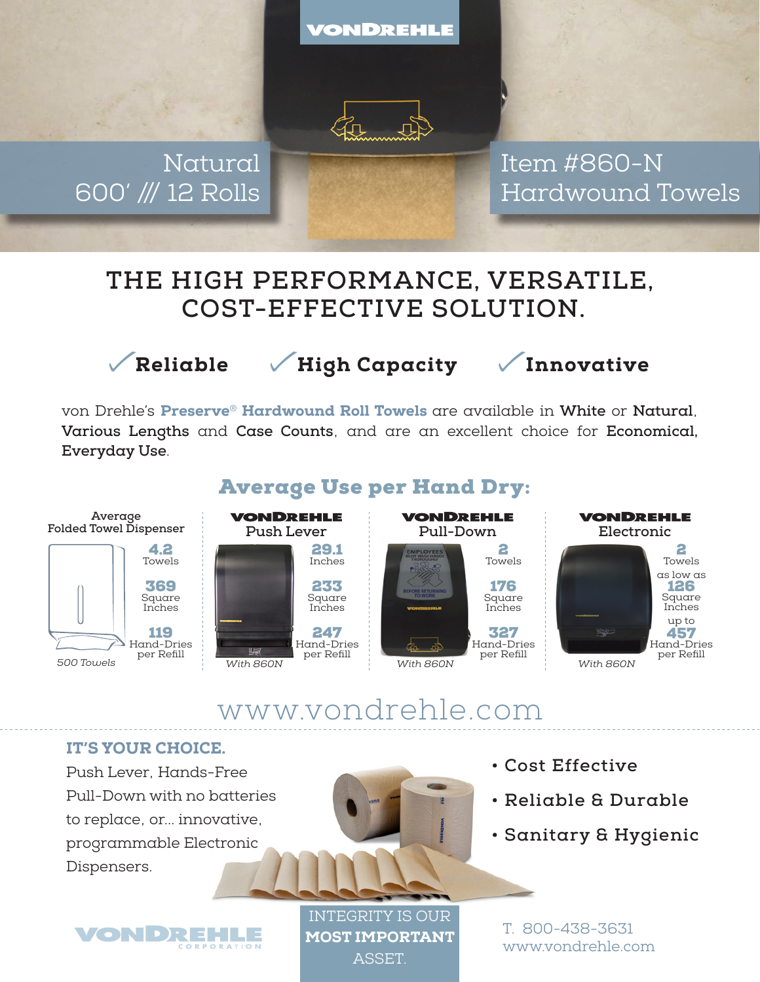VONDREHLE



Natural 600' /// 12 Rolls Item #860-N Hardwound Towels

# **THE HIGH PERFORMANCE, VERSATILE, COST-EFFECTIVE SOLUTION.**



Reliable / High Capacity / Innovative

von Drehle's Preserve® Hardwound Roll Towels are available in **White** or **Natural**, **Various Lengths** and **Case Counts**, and are an excellent choice for **Economical, Everyday Use**.



www.vondrehle.com

### IT'S YOUR CHOICE.

Push Lever, Hands-Free Pull-Down with no batteries to replace, or... innovative, programmable Electronic Dispensers.





INTEGRITY IS OUR MOST IMPORTANT **ASSET** 

- **Cost Effective**
- **Reliable & Durable**
- **Sanitary & Hygienic**

T. 800-438-3631 www.vondrehle.com

## Average Use per Hand Dry: